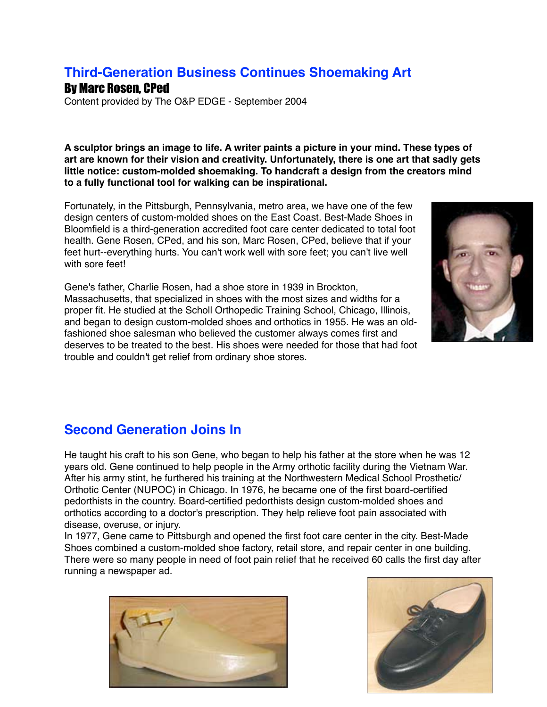## **Third-Generation Business Continues Shoemaking Art**

## By Marc Rosen, CPed

Content provided by The O&P EDGE - September 2004

**A sculptor brings an image to life. A writer paints a picture in your mind. These types of art are known for their vision and creativity. Unfortunately, there is one art that sadly gets little notice: custom-molded shoemaking. To handcraft a design from the creators mind to a fully functional tool for walking can be inspirational.**

Fortunately, in the Pittsburgh, Pennsylvania, metro area, we have one of the few design centers of custom-molded shoes on the East Coast. Best-Made Shoes in Bloomfield is a third-generation accredited foot care center dedicated to total foot health. Gene Rosen, CPed, and his son, Marc Rosen, CPed, believe that if your feet hurt--everything hurts. You can't work well with sore feet; you can't live well with sore feet!

Gene's father, Charlie Rosen, had a shoe store in 1939 in Brockton, Massachusetts, that specialized in shoes with the most sizes and widths for a proper fit. He studied at the Scholl Orthopedic Training School, Chicago, Illinois, and began to design custom-molded shoes and orthotics in 1955. He was an oldfashioned shoe salesman who believed the customer always comes first and deserves to be treated to the best. His shoes were needed for those that had foot trouble and couldn't get relief from ordinary shoe stores.



## **Second Generation Joins In**

He taught his craft to his son Gene, who began to help his father at the store when he was 12 years old. Gene continued to help people in the Army orthotic facility during the Vietnam War. After his army stint, he furthered his training at the Northwestern Medical School Prosthetic/ Orthotic Center (NUPOC) in Chicago. In 1976, he became one of the first board-certified pedorthists in the country. Board-certified pedorthists design custom-molded shoes and orthotics according to a doctor's prescription. They help relieve foot pain associated with disease, overuse, or injury.

In 1977, Gene came to Pittsburgh and opened the first foot care center in the city. Best-Made Shoes combined a custom-molded shoe factory, retail store, and repair center in one building. There were so many people in need of foot pain relief that he received 60 calls the first day after running a newspaper ad.